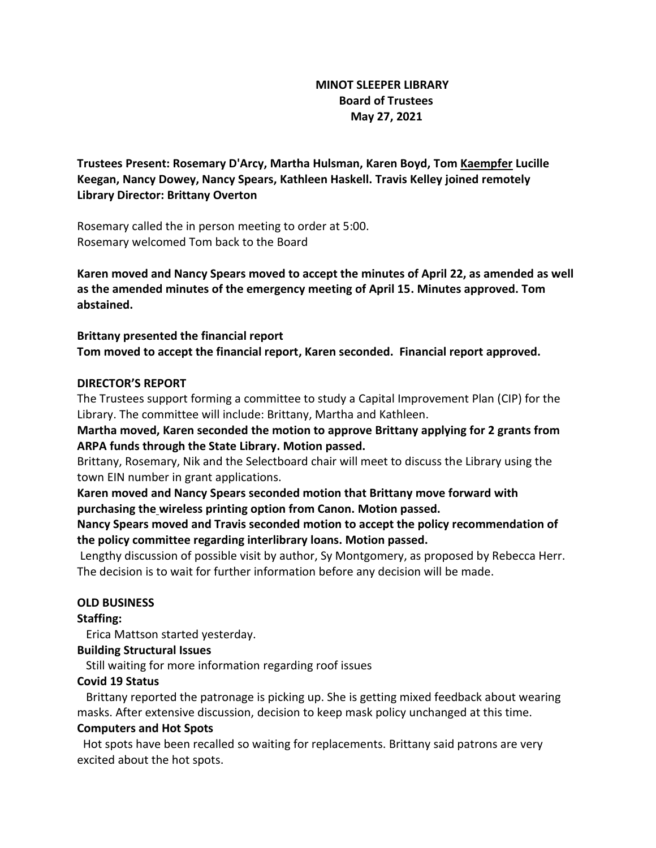# **MINOT SLEEPER LIBRARY Board of Trustees May 27, 2021**

**Trustees Present: Rosemary D'Arcy, Martha Hulsman, Karen Boyd, Tom Kaempfer Lucille Keegan, Nancy Dowey, Nancy Spears, Kathleen Haskell. Travis Kelley joined remotely Library Director: Brittany Overton** 

Rosemary called the in person meeting to order at 5:00. Rosemary welcomed Tom back to the Board

**Karen moved and Nancy Spears moved to accept the minutes of April 22, as amended as well as the amended minutes of the emergency meeting of April 15. Minutes approved. Tom abstained.**

**Brittany presented the financial report Tom moved to accept the financial report, Karen seconded. Financial report approved.**

# **DIRECTOR'S REPORT**

The Trustees support forming a committee to study a Capital Improvement Plan (CIP) for the Library. The committee will include: Brittany, Martha and Kathleen.

**Martha moved, Karen seconded the motion to approve Brittany applying for 2 grants from ARPA funds through the State Library. Motion passed.**

Brittany, Rosemary, Nik and the Selectboard chair will meet to discuss the Library using the town EIN number in grant applications.

**Karen moved and Nancy Spears seconded motion that Brittany move forward with purchasing the wireless printing option from Canon. Motion passed.**

**Nancy Spears moved and Travis seconded motion to accept the policy recommendation of the policy committee regarding interlibrary loans. Motion passed.**

Lengthy discussion of possible visit by author, Sy Montgomery, as proposed by Rebecca Herr. The decision is to wait for further information before any decision will be made.

# **OLD BUSINESS**

#### **Staffing:**

Erica Mattson started yesterday.

# **Building Structural Issues**

Still waiting for more information regarding roof issues

# **Covid 19 Status**

 Brittany reported the patronage is picking up. She is getting mixed feedback about wearing masks. After extensive discussion, decision to keep mask policy unchanged at this time.

#### **Computers and Hot Spots**

 Hot spots have been recalled so waiting for replacements. Brittany said patrons are very excited about the hot spots.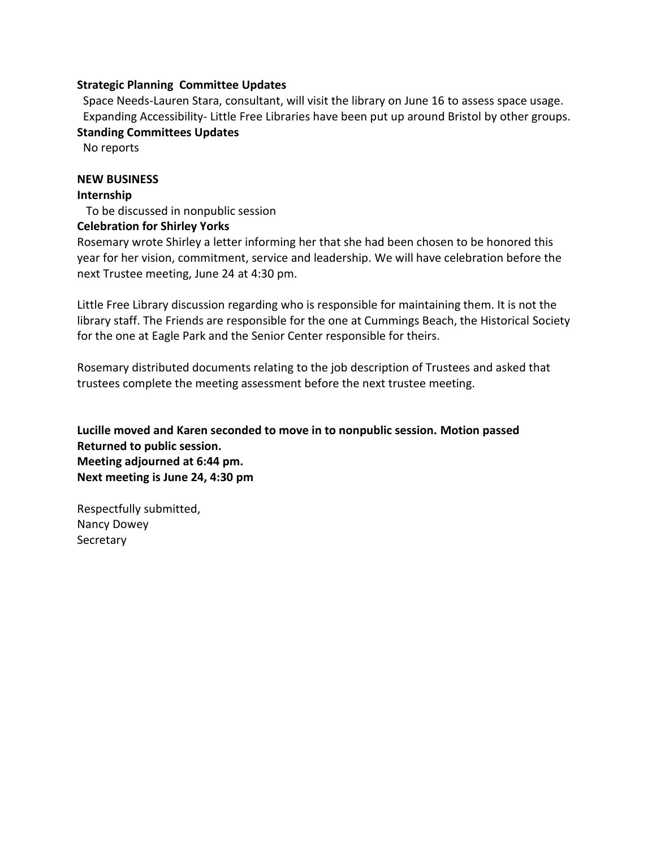### **Strategic Planning Committee Updates**

Space Needs-Lauren Stara, consultant, will visit the library on June 16 to assess space usage. Expanding Accessibility- Little Free Libraries have been put up around Bristol by other groups.

**Standing Committees Updates**

No reports

### **NEW BUSINESS**

#### **Internship**

To be discussed in nonpublic session

### **Celebration for Shirley Yorks**

Rosemary wrote Shirley a letter informing her that she had been chosen to be honored this year for her vision, commitment, service and leadership. We will have celebration before the next Trustee meeting, June 24 at 4:30 pm.

Little Free Library discussion regarding who is responsible for maintaining them. It is not the library staff. The Friends are responsible for the one at Cummings Beach, the Historical Society for the one at Eagle Park and the Senior Center responsible for theirs.

Rosemary distributed documents relating to the job description of Trustees and asked that trustees complete the meeting assessment before the next trustee meeting.

**Lucille moved and Karen seconded to move in to nonpublic session. Motion passed Returned to public session. Meeting adjourned at 6:44 pm. Next meeting is June 24, 4:30 pm**

Respectfully submitted, Nancy Dowey Secretary